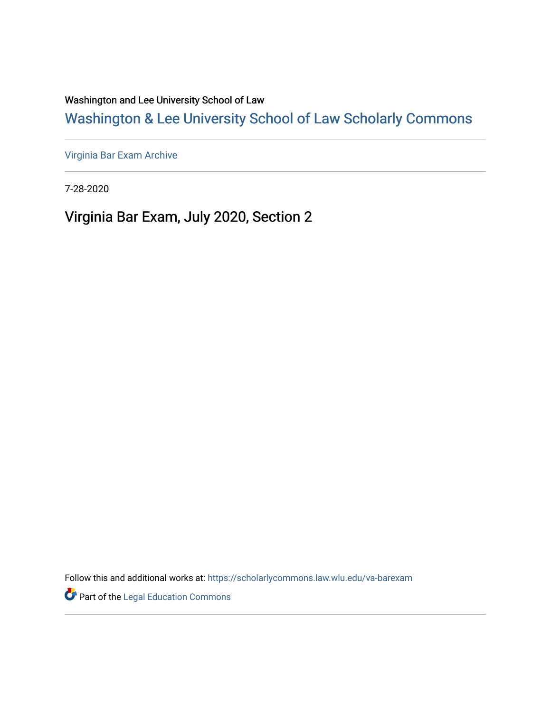Washington and Lee University School of Law

# [Washington & Lee University School of Law Scholarly Commons](https://scholarlycommons.law.wlu.edu/)

[Virginia Bar Exam Archive](https://scholarlycommons.law.wlu.edu/va-barexam)

7-28-2020

Virginia Bar Exam, July 2020, Section 2

Follow this and additional works at: [https://scholarlycommons.law.wlu.edu/va-barexam](https://scholarlycommons.law.wlu.edu/va-barexam?utm_source=scholarlycommons.law.wlu.edu%2Fva-barexam%2F218&utm_medium=PDF&utm_campaign=PDFCoverPages) 

**Part of the Legal Education Commons**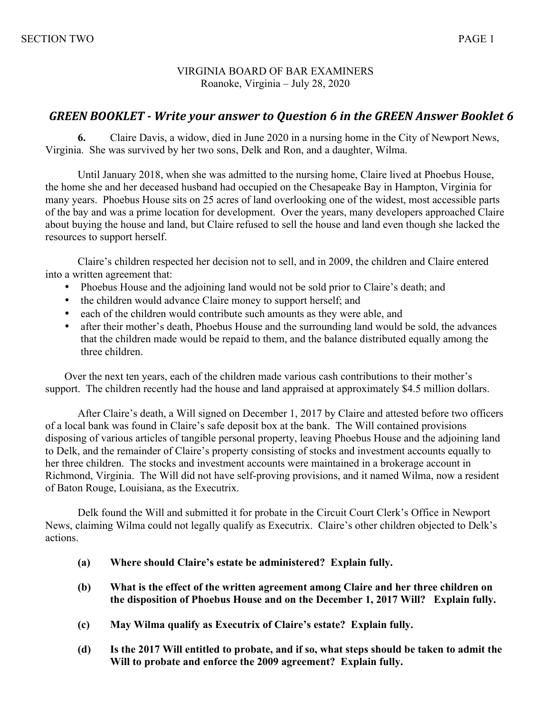#### VIRGINIA BOARD OF BAR EXAMINERS Roanoke, Virginia – July 28, 2020

## **GREEN BOOKLET** - Write your answer to Question 6 in the GREEN Answer Booklet 6

**6.** Claire Davis, a widow, died in June 2020 in a nursing home in the City of Newport News, Virginia. She was survived by her two sons, Delk and Ron, and a daughter, Wilma.

Until January 2018, when she was admitted to the nursing home, Claire lived at Phoebus House, the home she and her deceased husband had occupied on the Chesapeake Bay in Hampton, Virginia for many years. Phoebus House sits on 25 acres of land overlooking one of the widest, most accessible parts of the bay and was a prime location for development. Over the years, many developers approached Claire about buying the house and land, but Claire refused to sell the house and land even though she lacked the resources to support herself.

 Claire's children respected her decision not to sell, and in 2009, the children and Claire entered into a written agreement that:

- Phoebus House and the adjoining land would not be sold prior to Claire's death; and
- the children would advance Claire money to support herself; and
- each of the children would contribute such amounts as they were able, and
- after their mother's death, Phoebus House and the surrounding land would be sold, the advances that the children made would be repaid to them, and the balance distributed equally among the three children.

Over the next ten years, each of the children made various cash contributions to their mother's support. The children recently had the house and land appraised at approximately \$4.5 million dollars.

After Claire's death, a Will signed on December 1, 2017 by Claire and attested before two officers of a local bank was found in Claire's safe deposit box at the bank. The Will contained provisions disposing of various articles of tangible personal property, leaving Phoebus House and the adjoining land to Delk, and the remainder of Claire's property consisting of stocks and investment accounts equally to her three children. The stocks and investment accounts were maintained in a brokerage account in Richmond, Virginia. The Will did not have self-proving provisions, and it named Wilma, now a resident of Baton Rouge, Louisiana, as the Executrix.

Delk found the Will and submitted it for probate in the Circuit Court Clerk's Office in Newport News, claiming Wilma could not legally qualify as Executrix. Claire's other children objected to Delk's actions.

- **(a) Where should Claire's estate be administered? Explain fully.**
- **(b) What is the effect of the written agreement among Claire and her three children on the disposition of Phoebus House and on the December 1, 2017 Will? Explain fully.**
- **(c) May Wilma qualify as Executrix of Claire's estate? Explain fully.**
- **(d) Is the 2017 Will entitled to probate, and if so, what steps should be taken to admit the Will to probate and enforce the 2009 agreement? Explain fully.**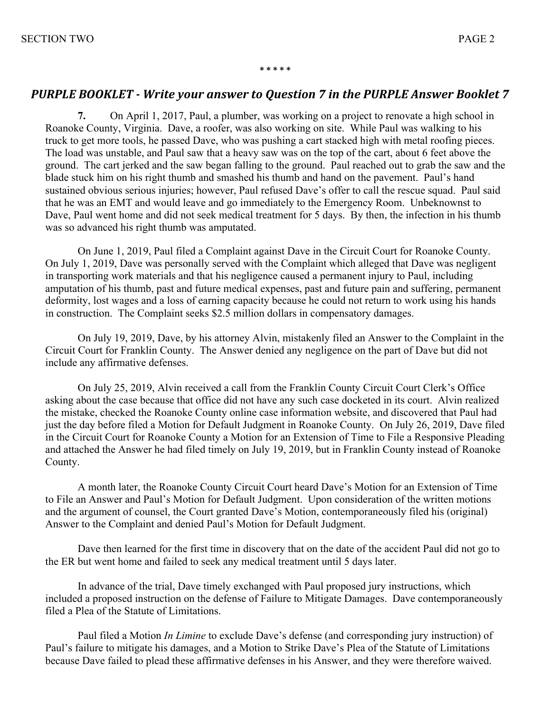#### **\* \* \* \* \***

### **PURPLE BOOKLET** - Write your answer to Question 7 in the PURPLE Answer Booklet 7

**7.** On April 1, 2017, Paul, a plumber, was working on a project to renovate a high school in Roanoke County, Virginia. Dave, a roofer, was also working on site. While Paul was walking to his truck to get more tools, he passed Dave, who was pushing a cart stacked high with metal roofing pieces. The load was unstable, and Paul saw that a heavy saw was on the top of the cart, about 6 feet above the ground. The cart jerked and the saw began falling to the ground. Paul reached out to grab the saw and the blade stuck him on his right thumb and smashed his thumb and hand on the pavement. Paul's hand sustained obvious serious injuries; however, Paul refused Dave's offer to call the rescue squad. Paul said that he was an EMT and would leave and go immediately to the Emergency Room. Unbeknownst to Dave, Paul went home and did not seek medical treatment for 5 days. By then, the infection in his thumb was so advanced his right thumb was amputated.

On June 1, 2019, Paul filed a Complaint against Dave in the Circuit Court for Roanoke County. On July 1, 2019, Dave was personally served with the Complaint which alleged that Dave was negligent in transporting work materials and that his negligence caused a permanent injury to Paul, including amputation of his thumb, past and future medical expenses, past and future pain and suffering, permanent deformity, lost wages and a loss of earning capacity because he could not return to work using his hands in construction. The Complaint seeks \$2.5 million dollars in compensatory damages.

On July 19, 2019, Dave, by his attorney Alvin, mistakenly filed an Answer to the Complaint in the Circuit Court for Franklin County. The Answer denied any negligence on the part of Dave but did not include any affirmative defenses.

On July 25, 2019, Alvin received a call from the Franklin County Circuit Court Clerk's Office asking about the case because that office did not have any such case docketed in its court. Alvin realized the mistake, checked the Roanoke County online case information website, and discovered that Paul had just the day before filed a Motion for Default Judgment in Roanoke County. On July 26, 2019, Dave filed in the Circuit Court for Roanoke County a Motion for an Extension of Time to File a Responsive Pleading and attached the Answer he had filed timely on July 19, 2019, but in Franklin County instead of Roanoke County.

A month later, the Roanoke County Circuit Court heard Dave's Motion for an Extension of Time to File an Answer and Paul's Motion for Default Judgment. Upon consideration of the written motions and the argument of counsel, the Court granted Dave's Motion, contemporaneously filed his (original) Answer to the Complaint and denied Paul's Motion for Default Judgment.

Dave then learned for the first time in discovery that on the date of the accident Paul did not go to the ER but went home and failed to seek any medical treatment until 5 days later.

In advance of the trial, Dave timely exchanged with Paul proposed jury instructions, which included a proposed instruction on the defense of Failure to Mitigate Damages. Dave contemporaneously filed a Plea of the Statute of Limitations.

Paul filed a Motion *In Limine* to exclude Dave's defense (and corresponding jury instruction) of Paul's failure to mitigate his damages, and a Motion to Strike Dave's Plea of the Statute of Limitations because Dave failed to plead these affirmative defenses in his Answer, and they were therefore waived.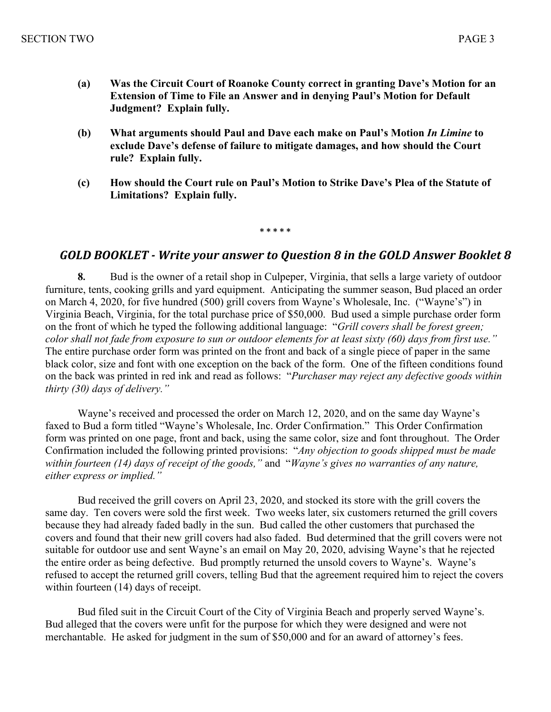- **(a) Was the Circuit Court of Roanoke County correct in granting Dave's Motion for an Extension of Time to File an Answer and in denying Paul's Motion for Default Judgment? Explain fully.**
- **(b) What arguments should Paul and Dave each make on Paul's Motion** *In Limine* **to exclude Dave's defense of failure to mitigate damages, and how should the Court rule? Explain fully.**
- **(c) How should the Court rule on Paul's Motion to Strike Dave's Plea of the Statute of Limitations? Explain fully.**

#### **\* \* \* \* \***

#### GOLD BOOKLET - Write your answer to Question 8 in the GOLD Answer Booklet 8

**8.** Bud is the owner of a retail shop in Culpeper, Virginia, that sells a large variety of outdoor furniture, tents, cooking grills and yard equipment. Anticipating the summer season, Bud placed an order on March 4, 2020, for five hundred (500) grill covers from Wayne's Wholesale, Inc. ("Wayne's") in Virginia Beach, Virginia, for the total purchase price of \$50,000. Bud used a simple purchase order form on the front of which he typed the following additional language: "*Grill covers shall be forest green; color shall not fade from exposure to sun or outdoor elements for at least sixty (60) days from first use."* The entire purchase order form was printed on the front and back of a single piece of paper in the same black color, size and font with one exception on the back of the form. One of the fifteen conditions found on the back was printed in red ink and read as follows: "*Purchaser may reject any defective goods within thirty (30) days of delivery."*

Wayne's received and processed the order on March 12, 2020, and on the same day Wayne's faxed to Bud a form titled "Wayne's Wholesale, Inc. Order Confirmation." This Order Confirmation form was printed on one page, front and back, using the same color, size and font throughout. The Order Confirmation included the following printed provisions: "*Any objection to goods shipped must be made within fourteen (14) days of receipt of the goods,"* and "*Wayne's gives no warranties of any nature, either express or implied."*

Bud received the grill covers on April 23, 2020, and stocked its store with the grill covers the same day. Ten covers were sold the first week. Two weeks later, six customers returned the grill covers because they had already faded badly in the sun. Bud called the other customers that purchased the covers and found that their new grill covers had also faded. Bud determined that the grill covers were not suitable for outdoor use and sent Wayne's an email on May 20, 2020, advising Wayne's that he rejected the entire order as being defective. Bud promptly returned the unsold covers to Wayne's. Wayne's refused to accept the returned grill covers, telling Bud that the agreement required him to reject the covers within fourteen (14) days of receipt.

Bud filed suit in the Circuit Court of the City of Virginia Beach and properly served Wayne's. Bud alleged that the covers were unfit for the purpose for which they were designed and were not merchantable. He asked for judgment in the sum of \$50,000 and for an award of attorney's fees.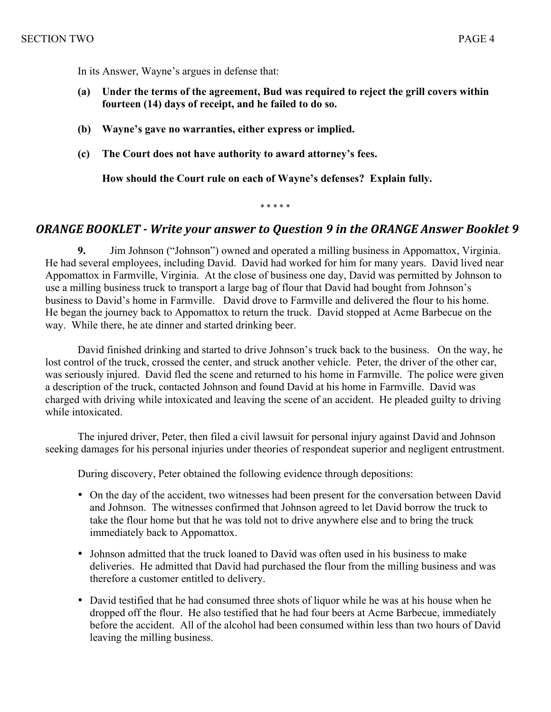In its Answer, Wayne's argues in defense that:

- **(a) Under the terms of the agreement, Bud was required to reject the grill covers within fourteen (14) days of receipt, and he failed to do so.**
- **(b) Wayne's gave no warranties, either express or implied.**
- **(c) The Court does not have authority to award attorney's fees.**

 **How should the Court rule on each of Wayne's defenses? Explain fully.**

\* \* \* \* \*

### **ORANGE BOOKLET** - Write your answer to Question 9 in the ORANGE Answer Booklet 9

**9.** Jim Johnson ("Johnson") owned and operated a milling business in Appomattox, Virginia. He had several employees, including David. David had worked for him for many years. David lived near Appomattox in Farmville, Virginia. At the close of business one day, David was permitted by Johnson to use a milling business truck to transport a large bag of flour that David had bought from Johnson's business to David's home in Farmville. David drove to Farmville and delivered the flour to his home. He began the journey back to Appomattox to return the truck. David stopped at Acme Barbecue on the way. While there, he ate dinner and started drinking beer.

David finished drinking and started to drive Johnson's truck back to the business. On the way, he lost control of the truck, crossed the center, and struck another vehicle. Peter, the driver of the other car, was seriously injured. David fled the scene and returned to his home in Farmville. The police were given a description of the truck, contacted Johnson and found David at his home in Farmville. David was charged with driving while intoxicated and leaving the scene of an accident. He pleaded guilty to driving while intoxicated.

The injured driver, Peter, then filed a civil lawsuit for personal injury against David and Johnson seeking damages for his personal injuries under theories of respondeat superior and negligent entrustment.

During discovery, Peter obtained the following evidence through depositions:

- On the day of the accident, two witnesses had been present for the conversation between David and Johnson. The witnesses confirmed that Johnson agreed to let David borrow the truck to take the flour home but that he was told not to drive anywhere else and to bring the truck immediately back to Appomattox.
- Johnson admitted that the truck loaned to David was often used in his business to make deliveries. He admitted that David had purchased the flour from the milling business and was therefore a customer entitled to delivery.
- David testified that he had consumed three shots of liquor while he was at his house when he dropped off the flour. He also testified that he had four beers at Acme Barbecue, immediately before the accident. All of the alcohol had been consumed within less than two hours of David leaving the milling business.